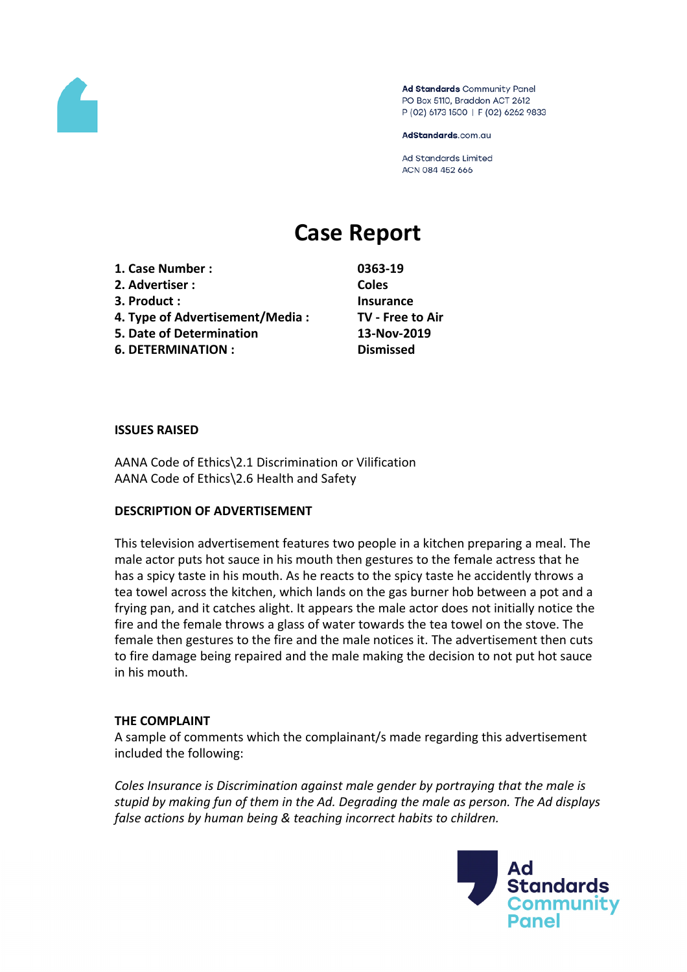

Ad Standards Community Panel PO Box 5110, Braddon ACT 2612 P (02) 6173 1500 | F (02) 6262 9833

AdStandards.com.au

**Ad Standards Limited** ACN 084 452 666

# **Case Report**

**1. Case Number : 0363-19 2. Advertiser : Coles 3. Product : Insurance 4. Type of Advertisement/Media : TV - Free to Air 5. Date of Determination 13-Nov-2019 6. DETERMINATION : Dismissed**

#### **ISSUES RAISED**

AANA Code of Ethics\2.1 Discrimination or Vilification AANA Code of Ethics\2.6 Health and Safety

#### **DESCRIPTION OF ADVERTISEMENT**

This television advertisement features two people in a kitchen preparing a meal. The male actor puts hot sauce in his mouth then gestures to the female actress that he has a spicy taste in his mouth. As he reacts to the spicy taste he accidently throws a tea towel across the kitchen, which lands on the gas burner hob between a pot and a frying pan, and it catches alight. It appears the male actor does not initially notice the fire and the female throws a glass of water towards the tea towel on the stove. The female then gestures to the fire and the male notices it. The advertisement then cuts to fire damage being repaired and the male making the decision to not put hot sauce in his mouth.

#### **THE COMPLAINT**

A sample of comments which the complainant/s made regarding this advertisement included the following:

*Coles Insurance is Discrimination against male gender by portraying that the male is stupid by making fun of them in the Ad. Degrading the male as person. The Ad displays false actions by human being & teaching incorrect habits to children.*

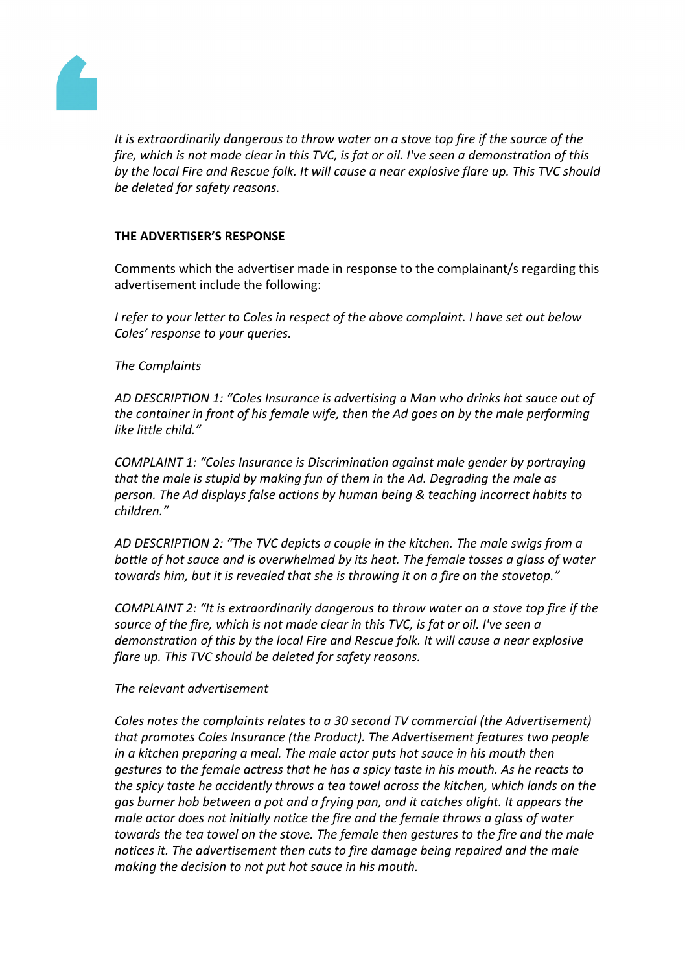

*It is extraordinarily dangerous to throw water on a stove top fire if the source of the fire, which is not made clear in this TVC, is fat or oil. I've seen a demonstration of this by the local Fire and Rescue folk. It will cause a near explosive flare up. This TVC should be deleted for safety reasons.*

# **THE ADVERTISER'S RESPONSE**

Comments which the advertiser made in response to the complainant/s regarding this advertisement include the following:

*I refer to your letter to Coles in respect of the above complaint. I have set out below Coles' response to your queries.*

# *The Complaints*

*AD DESCRIPTION 1: "Coles Insurance is advertising a Man who drinks hot sauce out of the container in front of his female wife, then the Ad goes on by the male performing like little child."*

*COMPLAINT 1: "Coles Insurance is Discrimination against male gender by portraying that the male is stupid by making fun of them in the Ad. Degrading the male as person. The Ad displays false actions by human being & teaching incorrect habits to children."*

*AD DESCRIPTION 2: "The TVC depicts a couple in the kitchen. The male swigs from a bottle of hot sauce and is overwhelmed by its heat. The female tosses a glass of water towards him, but it is revealed that she is throwing it on a fire on the stovetop."*

*COMPLAINT 2: "It is extraordinarily dangerous to throw water on a stove top fire if the source of the fire, which is not made clear in this TVC, is fat or oil. I've seen a demonstration of this by the local Fire and Rescue folk. It will cause a near explosive flare up. This TVC should be deleted for safety reasons.*

# *The relevant advertisement*

*Coles notes the complaints relates to a 30 second TV commercial (the Advertisement) that promotes Coles Insurance (the Product). The Advertisement features two people in a kitchen preparing a meal. The male actor puts hot sauce in his mouth then gestures to the female actress that he has a spicy taste in his mouth. As he reacts to the spicy taste he accidently throws a tea towel across the kitchen, which lands on the gas burner hob between a pot and a frying pan, and it catches alight. It appears the male actor does not initially notice the fire and the female throws a glass of water towards the tea towel on the stove. The female then gestures to the fire and the male notices it. The advertisement then cuts to fire damage being repaired and the male making the decision to not put hot sauce in his mouth.*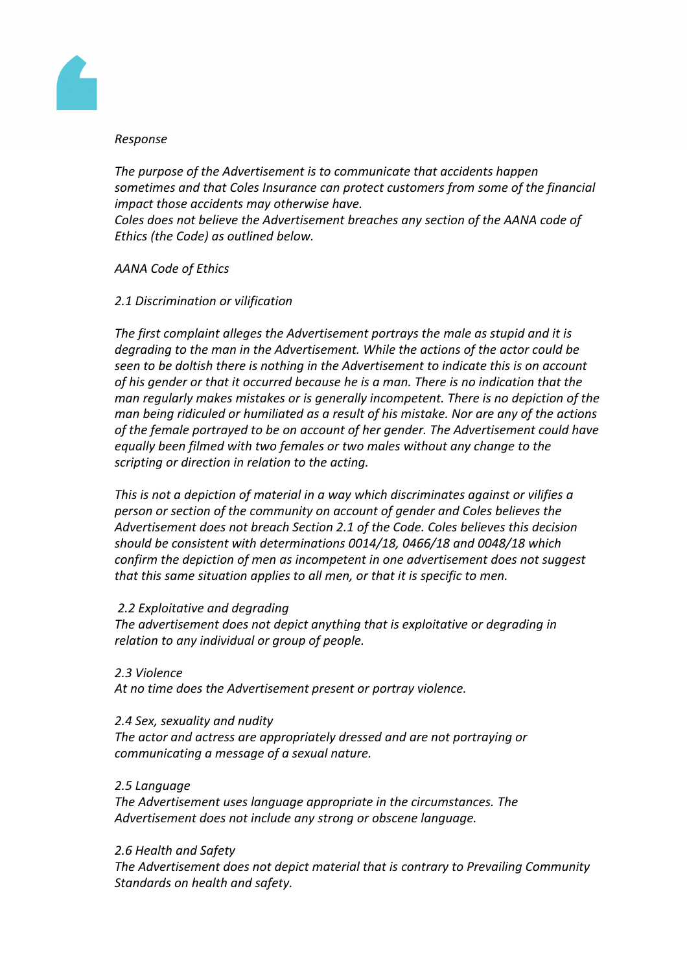

### *Response*

*The purpose of the Advertisement is to communicate that accidents happen sometimes and that Coles Insurance can protect customers from some of the financial impact those accidents may otherwise have. Coles does not believe the Advertisement breaches any section of the AANA code of Ethics (the Code) as outlined below.*

# *AANA Code of Ethics*

# *2.1 Discrimination or vilification*

*The first complaint alleges the Advertisement portrays the male as stupid and it is degrading to the man in the Advertisement. While the actions of the actor could be seen to be doltish there is nothing in the Advertisement to indicate this is on account of his gender or that it occurred because he is a man. There is no indication that the man regularly makes mistakes or is generally incompetent. There is no depiction of the man being ridiculed or humiliated as a result of his mistake. Nor are any of the actions of the female portrayed to be on account of her gender. The Advertisement could have equally been filmed with two females or two males without any change to the scripting or direction in relation to the acting.*

*This is not a depiction of material in a way which discriminates against or vilifies a person or section of the community on account of gender and Coles believes the Advertisement does not breach Section 2.1 of the Code. Coles believes this decision should be consistent with determinations 0014/18, 0466/18 and 0048/18 which confirm the depiction of men as incompetent in one advertisement does not suggest that this same situation applies to all men, or that it is specific to men.*

# *2.2 Exploitative and degrading*

*The advertisement does not depict anything that is exploitative or degrading in relation to any individual or group of people.*

# *2.3 Violence*

*At no time does the Advertisement present or portray violence.*

# *2.4 Sex, sexuality and nudity*

*The actor and actress are appropriately dressed and are not portraying or communicating a message of a sexual nature.*

# *2.5 Language*

*The Advertisement uses language appropriate in the circumstances. The Advertisement does not include any strong or obscene language.*

# *2.6 Health and Safety*

*The Advertisement does not depict material that is contrary to Prevailing Community Standards on health and safety.*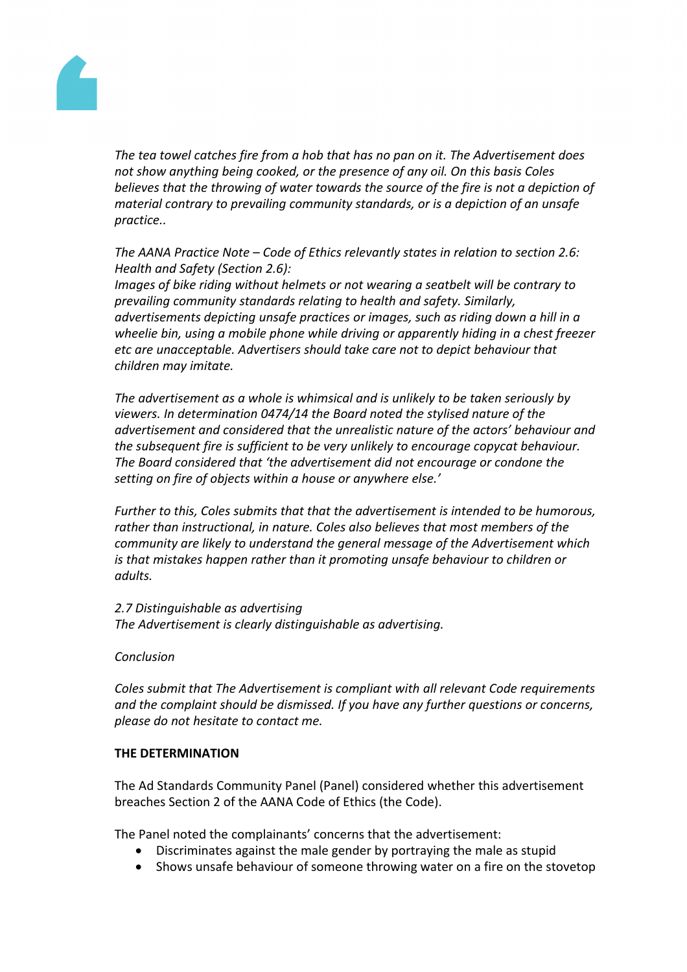

*The tea towel catches fire from a hob that has no pan on it. The Advertisement does not show anything being cooked, or the presence of any oil. On this basis Coles believes that the throwing of water towards the source of the fire is not a depiction of material contrary to prevailing community standards, or is a depiction of an unsafe practice..*

*The AANA Practice Note – Code of Ethics relevantly states in relation to section 2.6: Health and Safety (Section 2.6):*

*Images of bike riding without helmets or not wearing a seatbelt will be contrary to prevailing community standards relating to health and safety. Similarly, advertisements depicting unsafe practices or images, such as riding down a hill in a wheelie bin, using a mobile phone while driving or apparently hiding in a chest freezer etc are unacceptable. Advertisers should take care not to depict behaviour that children may imitate.*

*The advertisement as a whole is whimsical and is unlikely to be taken seriously by viewers. In determination 0474/14 the Board noted the stylised nature of the advertisement and considered that the unrealistic nature of the actors' behaviour and the subsequent fire is sufficient to be very unlikely to encourage copycat behaviour. The Board considered that 'the advertisement did not encourage or condone the setting on fire of objects within a house or anywhere else.'*

*Further to this, Coles submits that that the advertisement is intended to be humorous, rather than instructional, in nature. Coles also believes that most members of the community are likely to understand the general message of the Advertisement which is that mistakes happen rather than it promoting unsafe behaviour to children or adults.*

*2.7 Distinguishable as advertising The Advertisement is clearly distinguishable as advertising.*

# *Conclusion*

*Coles submit that The Advertisement is compliant with all relevant Code requirements and the complaint should be dismissed. If you have any further questions or concerns, please do not hesitate to contact me.*

# **THE DETERMINATION**

The Ad Standards Community Panel (Panel) considered whether this advertisement breaches Section 2 of the AANA Code of Ethics (the Code).

The Panel noted the complainants' concerns that the advertisement:

- Discriminates against the male gender by portraying the male as stupid
- Shows unsafe behaviour of someone throwing water on a fire on the stovetop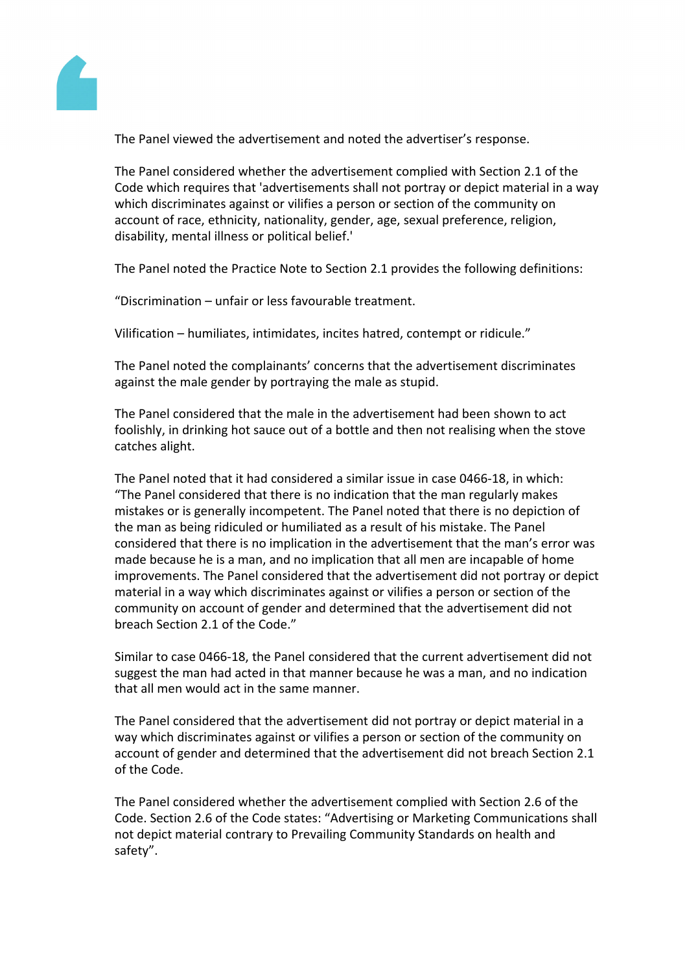

The Panel viewed the advertisement and noted the advertiser's response.

The Panel considered whether the advertisement complied with Section 2.1 of the Code which requires that 'advertisements shall not portray or depict material in a way which discriminates against or vilifies a person or section of the community on account of race, ethnicity, nationality, gender, age, sexual preference, religion, disability, mental illness or political belief.'

The Panel noted the Practice Note to Section 2.1 provides the following definitions:

"Discrimination – unfair or less favourable treatment.

Vilification – humiliates, intimidates, incites hatred, contempt or ridicule."

The Panel noted the complainants' concerns that the advertisement discriminates against the male gender by portraying the male as stupid.

The Panel considered that the male in the advertisement had been shown to act foolishly, in drinking hot sauce out of a bottle and then not realising when the stove catches alight.

The Panel noted that it had considered a similar issue in case 0466-18, in which: "The Panel considered that there is no indication that the man regularly makes mistakes or is generally incompetent. The Panel noted that there is no depiction of the man as being ridiculed or humiliated as a result of his mistake. The Panel considered that there is no implication in the advertisement that the man's error was made because he is a man, and no implication that all men are incapable of home improvements. The Panel considered that the advertisement did not portray or depict material in a way which discriminates against or vilifies a person or section of the community on account of gender and determined that the advertisement did not breach Section 2.1 of the Code."

Similar to case 0466-18, the Panel considered that the current advertisement did not suggest the man had acted in that manner because he was a man, and no indication that all men would act in the same manner.

The Panel considered that the advertisement did not portray or depict material in a way which discriminates against or vilifies a person or section of the community on account of gender and determined that the advertisement did not breach Section 2.1 of the Code.

The Panel considered whether the advertisement complied with Section 2.6 of the Code. Section 2.6 of the Code states: "Advertising or Marketing Communications shall not depict material contrary to Prevailing Community Standards on health and safety".